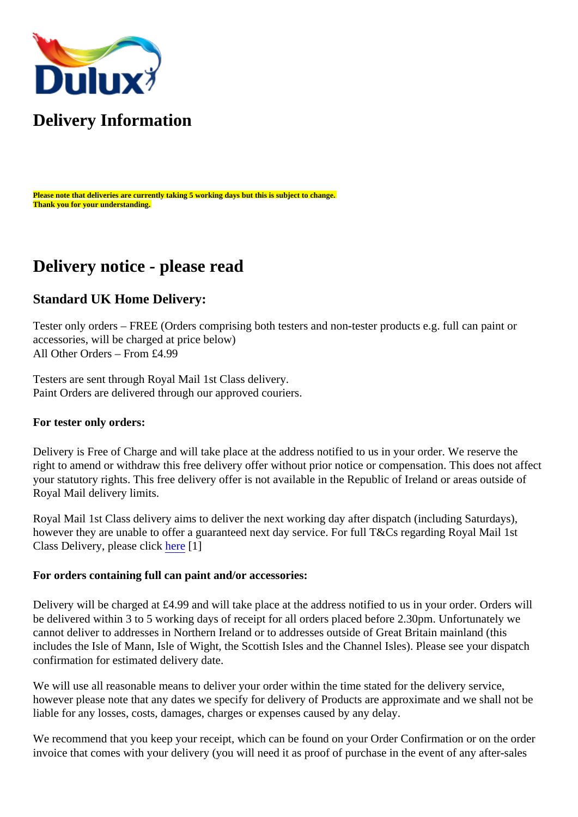

## **Delivery Information**

**Please note that deliveries are currently taking 5 working days but this is subject to change. Thank you for your understanding.**

## **Delivery notice - please read**

### **Standard UK Home Delivery:**

Tester only orders – FREE (Orders comprising both testers and non-tester products e.g. full can paint or accessories, will be charged at price below) All Other Orders – From £4.99

Testers are sent through Royal Mail 1st Class delivery. Paint Orders are delivered through our approved couriers.

### **For tester only orders:**

Delivery is Free of Charge and will take place at the address notified to us in your order. We reserve the right to amend or withdraw this free delivery offer without prior notice or compensation. This does not affect your statutory rights. This free delivery offer is not available in the Republic of Ireland or areas outside of Royal Mail delivery limits.

Royal Mail 1st Class delivery aims to deliver the next working day after dispatch (including Saturdays), however they are unable to offer a guaranteed next day service. For full T&Cs regarding Royal Mail 1st Class Delivery, please click [here](http://www.royalmail.com/personal/uk-delivery/1st-class-mail) [1]

### **For orders containing full can paint and/or accessories:**

Delivery will be charged at £4.99 and will take place at the address notified to us in your order. Orders will be delivered within 3 to 5 working days of receipt for all orders placed before 2.30pm. Unfortunately we cannot deliver to addresses in Northern Ireland or to addresses outside of Great Britain mainland (this includes the Isle of Mann, Isle of Wight, the Scottish Isles and the Channel Isles). Please see your dispatch confirmation for estimated delivery date.

We will use all reasonable means to deliver your order within the time stated for the delivery service, however please note that any dates we specify for delivery of Products are approximate and we shall not be liable for any losses, costs, damages, charges or expenses caused by any delay.

We recommend that you keep your receipt, which can be found on your Order Confirmation or on the order invoice that comes with your delivery (you will need it as proof of purchase in the event of any after-sales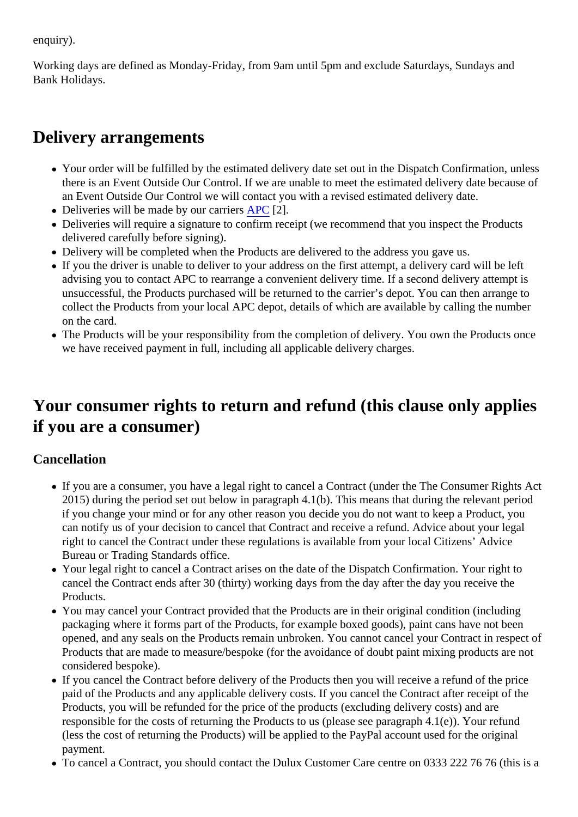enquiry).

Working days are defined as Monday-Friday, from 9am until 5pm and exclude Saturdays, Sundays and Bank Holidays.

## **Delivery arrangements**

- Your order will be fulfilled by the estimated delivery date set out in the Dispatch Confirmation, unless there is an Event Outside Our Control. If we are unable to meet the estimated delivery date because of an Event Outside Our Control we will contact you with a revised estimated delivery date.
- Deliveries will be made by our carriers [APC](https://apc-overnight.com/) [2].
- Deliveries will require a signature to confirm receipt (we recommend that you inspect the Products delivered carefully before signing).
- Delivery will be completed when the Products are delivered to the address you gave us.
- If you the driver is unable to deliver to your address on the first attempt, a delivery card will be left advising you to contact APC to rearrange a convenient delivery time. If a second delivery attempt is unsuccessful, the Products purchased will be returned to the carrier's depot. You can then arrange to collect the Products from your local APC depot, details of which are available by calling the number on the card.
- The Products will be your responsibility from the completion of delivery. You own the Products once we have received payment in full, including all applicable delivery charges.

## **Your consumer rights to return and refund (this clause only applies if you are a consumer)**

### **Cancellation**

- If you are a consumer, you have a legal right to cancel a Contract (under the The Consumer Rights Act 2015) during the period set out below in paragraph 4.1(b). This means that during the relevant period if you change your mind or for any other reason you decide you do not want to keep a Product, you can notify us of your decision to cancel that Contract and receive a refund. Advice about your legal right to cancel the Contract under these regulations is available from your local Citizens' Advice Bureau or Trading Standards office.
- Your legal right to cancel a Contract arises on the date of the Dispatch Confirmation. Your right to cancel the Contract ends after 30 (thirty) working days from the day after the day you receive the Products.
- You may cancel your Contract provided that the Products are in their original condition (including packaging where it forms part of the Products, for example boxed goods), paint cans have not been opened, and any seals on the Products remain unbroken. You cannot cancel your Contract in respect of Products that are made to measure/bespoke (for the avoidance of doubt paint mixing products are not considered bespoke).
- If you cancel the Contract before delivery of the Products then you will receive a refund of the price paid of the Products and any applicable delivery costs. If you cancel the Contract after receipt of the Products, you will be refunded for the price of the products (excluding delivery costs) and are responsible for the costs of returning the Products to us (please see paragraph 4.1(e)). Your refund (less the cost of returning the Products) will be applied to the PayPal account used for the original payment.
- To cancel a Contract, you should contact the Dulux Customer Care centre on 0333 222 76 76 (this is a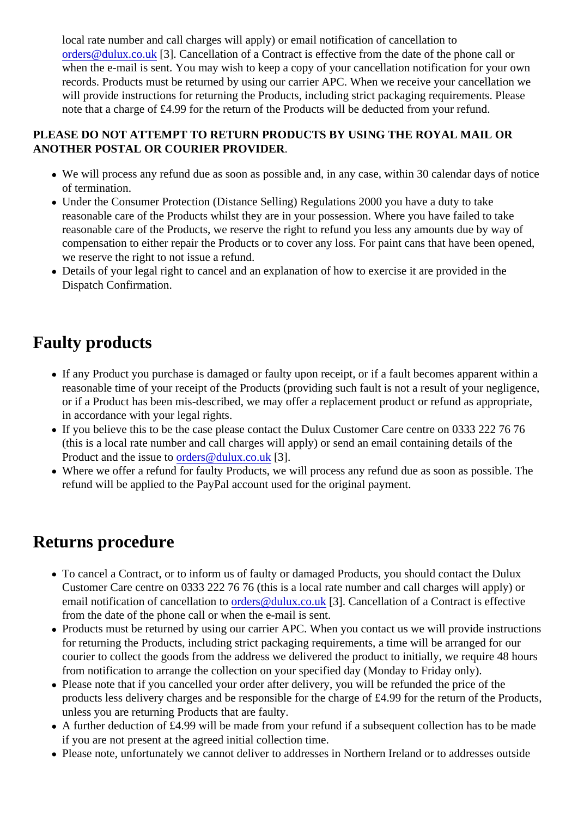local rate number and call charges will apply) or email notification of cancellation to [orders@dulux.co.uk](mailto:orders@dulux.co.uk) [3]. Cancellation of a Contract is effective from the date of the phone call or when the e-mail is sent. You may wish to keep a copy of your cancellation notification for your own records. Products must be returned by using our carrier APC. When we receive your cancellation we will provide instructions for returning the Products, including strict packaging requirements. Please note that a charge of £4.99 for the return of the Products will be deducted from your refund.

### **PLEASE DO NOT ATTEMPT TO RETURN PRODUCTS BY USING THE ROYAL MAIL OR ANOTHER POSTAL OR COURIER PROVIDER**.

- We will process any refund due as soon as possible and, in any case, within 30 calendar days of notice of termination.
- Under the Consumer Protection (Distance Selling) Regulations 2000 you have a duty to take reasonable care of the Products whilst they are in your possession. Where you have failed to take reasonable care of the Products, we reserve the right to refund you less any amounts due by way of compensation to either repair the Products or to cover any loss. For paint cans that have been opened, we reserve the right to not issue a refund.
- Details of your legal right to cancel and an explanation of how to exercise it are provided in the Dispatch Confirmation.

# **Faulty products**

- If any Product you purchase is damaged or faulty upon receipt, or if a fault becomes apparent within a reasonable time of your receipt of the Products (providing such fault is not a result of your negligence, or if a Product has been mis-described, we may offer a replacement product or refund as appropriate, in accordance with your legal rights.
- If you believe this to be the case please contact the Dulux Customer Care centre on 0333 222 76 76 (this is a local rate number and call charges will apply) or send an email containing details of the Product and the issue to [orders@dulux.co.uk](mailto:orders@dulux.co.uk) [3].
- Where we offer a refund for faulty Products, we will process any refund due as soon as possible. The refund will be applied to the PayPal account used for the original payment.

## **Returns procedure**

- To cancel a Contract, or to inform us of faulty or damaged Products, you should contact the Dulux Customer Care centre on 0333 222 76 76 (this is a local rate number and call charges will apply) or email notification of cancellation to [orders@dulux.co.uk](mailto:orders@dulux.co.uk) [3]. Cancellation of a Contract is effective from the date of the phone call or when the e-mail is sent.
- Products must be returned by using our carrier APC. When you contact us we will provide instructions for returning the Products, including strict packaging requirements, a time will be arranged for our courier to collect the goods from the address we delivered the product to initially, we require 48 hours from notification to arrange the collection on your specified day (Monday to Friday only).
- Please note that if you cancelled your order after delivery, you will be refunded the price of the products less delivery charges and be responsible for the charge of £4.99 for the return of the Products, unless you are returning Products that are faulty.
- A further deduction of £4.99 will be made from your refund if a subsequent collection has to be made if you are not present at the agreed initial collection time.
- Please note, unfortunately we cannot deliver to addresses in Northern Ireland or to addresses outside